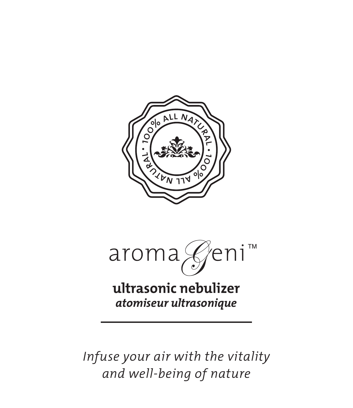

aroma Geni™

**ultrasonic nebulizer** *atomiseur ultrasonique*

*Infuse your air with the vitality and well-being of nature*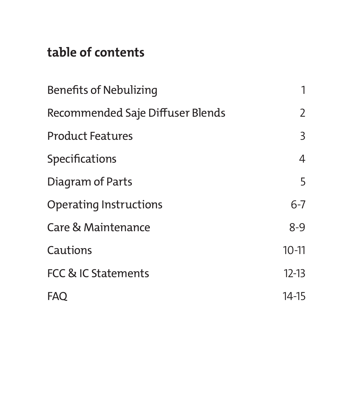## **table of contents**

| Benefits of Nebulizing           | 1         |
|----------------------------------|-----------|
| Recommended Saje Diffuser Blends | 2         |
| <b>Product Features</b>          | 3         |
| Specifications                   | 4         |
| Diagram of Parts                 | 5         |
| Operating Instructions           | $6 - 7$   |
| Care & Maintenance               | $8-9$     |
| Cautions                         | $10 - 11$ |
| FCC & IC Statements              | $12-13$   |
| <b>FAO</b>                       | 14-15     |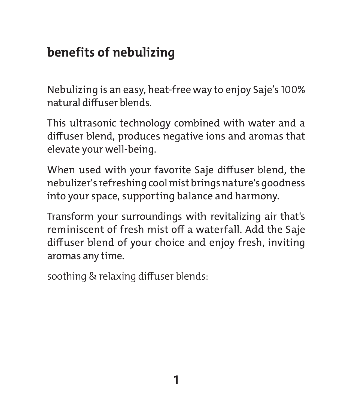### **benefits of nebulizing**

Nebulizing is an easy, heat-free way to enjoy Saje's 100% natural diffuser blends.

This ultrasonic technology combined with water and a diffuser blend, produces negative ions and aromas that elevate your well-being.

When used with your favorite Saje diffuser blend, the nebulizer's refreshing cool mist brings nature's goodness into your space, supporting balance and harmony.

Transform your surroundings with revitalizing air that's reminiscent of fresh mist off a waterfall. Add the Saje diffuser blend of your choice and enjoy fresh, inviting aromas any time.

soothing & relaxing diffuser blends: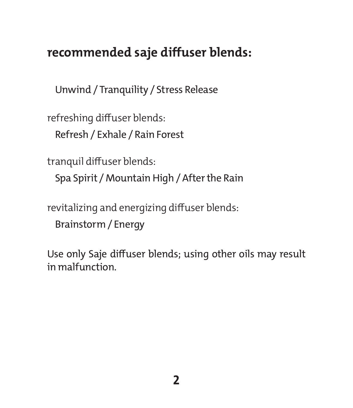#### **recommended saje diffuser blends:**

Unwind / Tranquility / Stress Release

refreshing diffuser blends:

Refresh / Exhale / Rain Forest

tranquil diffuser blends:

Spa Spirit / Mountain High / After the Rain

revitalizing and energizing diffuser blends:

Brainstorm / Energy

Use only Saje diffuser blends; using other oils may result in malfunction.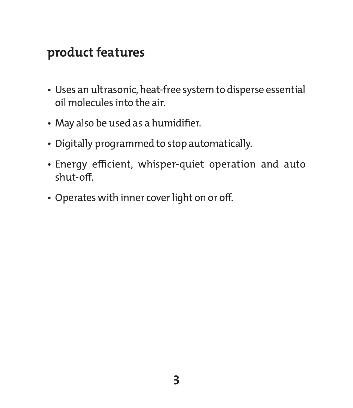#### **product features**

- Uses an ultrasonic, heat-free system to disperse essential oil molecules into the air.
- May also be used as a humidifier.
- Digitally programmed to stop automatically.
- Energy efficient, whisper-quiet operation and auto shut-off.
- Operates with inner cover light on or off.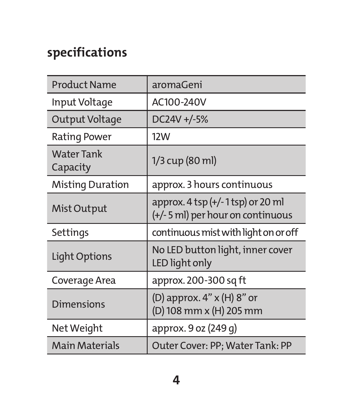# **specifications**

| <b>Product Name</b>           | aromaGeni                                                             |
|-------------------------------|-----------------------------------------------------------------------|
| Input Voltage                 | AC100-240V                                                            |
| Output Voltage                | DC24V +/-5%                                                           |
| Rating Power                  | <b>12W</b>                                                            |
| <b>Water Tank</b><br>Capacity | 1/3 cup (80 ml)                                                       |
| Misting Duration              | approx. 3 hours continuous                                            |
| Mist Output                   | approx. 4 tsp (+/-1 tsp) or 20 ml<br>(+/-5 ml) per hour on continuous |
| Settings                      | continuous mist with light on or off                                  |
| Light Options                 | No LED button light, inner cover<br>LED light only                    |
| Coverage Area                 | approx. 200-300 sq ft                                                 |
| <b>Dimensions</b>             | (D) approx. 4" x (H) 8" or<br>(D) 108 mm x (H) 205 mm                 |
| Net Weight                    | approx. 9 oz (249 g)                                                  |
| Main Materials                | Outer Cover: PP; Water Tank: PP                                       |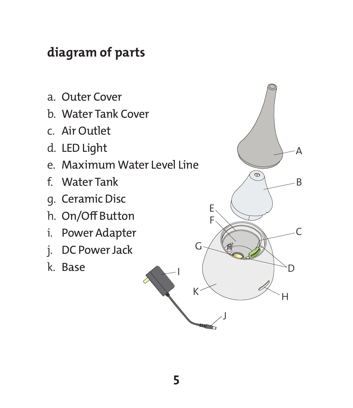## **diagram of parts**

- a. Outer Cover
- b. Water Tank Cover
- c. Air Outlet
- d. LED Light
- e. Maximum Water Level Line
- f. Water Tank
- g. Ceramic Disc
- h. On/Off Button
- i. Power Adapter
- j. DC Power Jack
- k. Base

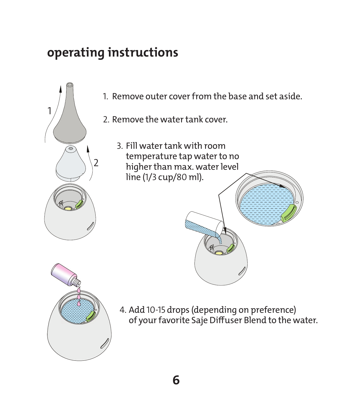## **operating instructions**



- 1. Remove outer cover from the base and set aside.
- 2. Remove the water tank cover.
	- 3. Fill water tank with room temperature tap water to no higher than max. water level line (1/3 cup/80 ml).





4. Add 10-15 drops (depending on preference) of your favorite Saje Diffuser Blend to the water.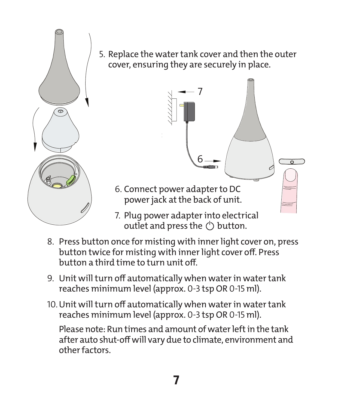

5. Replace the water tank cover and then the outer cover, ensuring they are securely in place.



- outlet and press the  $(')$  button.
- 8. Press button once for misting with inner light cover on, press button twice for misting with inner light cover off. Press button a third time to turn unit off.
- 9. Unit will turn off automatically when water in water tank reaches minimum level (approx. 0-3 tsp OR 0-15 ml).
- 10.Unit will turn off automatically when water in water tank reaches minimum level (approx. 0-3 tsp OR 0-15 ml).

Please note: Run times and amount of water left in the tank after auto shut-off will vary due to climate, environment and other factors.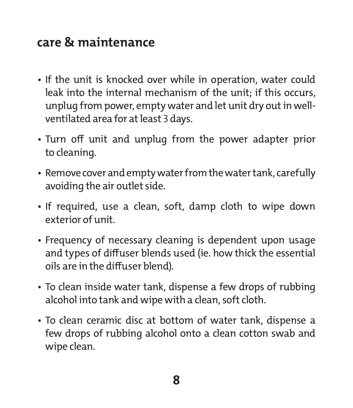#### **care & maintenance**

- If the unit is knocked over while in operation, water could leak into the internal mechanism of the unit; if this occurs, unplug from power, empty water and let unit dry out in wellventilated area for at least 3 days.
- Turn off unit and unplug from the power adapter prior to cleaning.
- Remove cover and empty water from the water tank, carefully avoiding the air outlet side.
- If required, use a clean, soft, damp cloth to wipe down exterior of unit.
- Frequency of necessary cleaning is dependent upon usage and types of diffuser blends used (ie. how thick the essential oils are in the diffuser blend).
- To clean inside water tank, dispense a few drops of rubbing alcohol into tank and wipe with a clean, soft cloth.
- To clean ceramic disc at bottom of water tank, dispense a few drops of rubbing alcohol onto a clean cotton swab and wipe clean.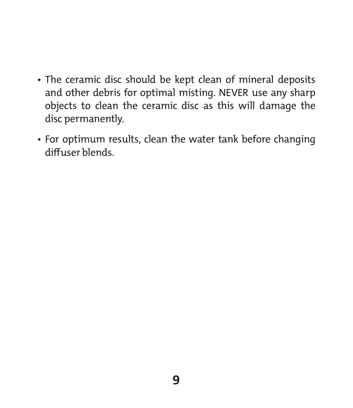- The ceramic disc should be kept clean of mineral deposits and other debris for optimal misting. NEVER use any sharp objects to clean the ceramic disc as this will damage the disc permanently.
- For optimum results, clean the water tank before changing diffuser blends.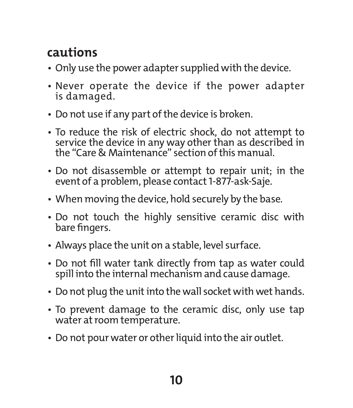# **cautions**

- Only use the power adapter supplied with the device.
- Never operate the device if the power adapter is damaged.
- Do not use if any part of the device is broken.
- To reduce the risk of electric shock, do not attempt to service the device in any way other than as described in the "Care & Maintenance" section of this manual.
- Do not disassemble or attempt to repair unit; in the event of a problem, please contact 1-877-ask-Saje.
- When moving the device, hold securely by the base.
- Do not touch the highly sensitive ceramic disc with bare fingers.
- Always place the unit on a stable, level surface.
- Do not fill water tank directly from tap as water could spill into the internal mechanism and cause damage.
- Do not plug the unit into the wall socket with wet hands.
- To prevent damage to the ceramic disc, only use tap water at room temperature.
- Do not pour water or other liquid into the air outlet.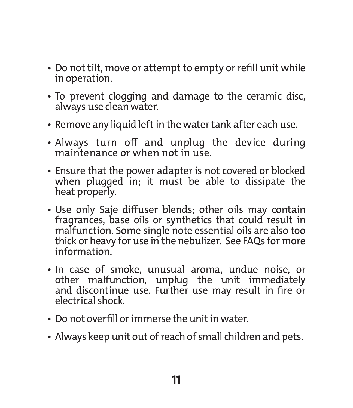- Do not tilt, move or attempt to empty or refill unit while in operation.
- To prevent clogging and damage to the ceramic disc, always use clean water.
- Remove any liquid left in the water tank after each use.
- Always turn off and unplug the device during maintenance or when not in use.
- Ensure that the power adapter is not covered or blocked when plugged in; it must be able to dissipate the heat properly.
- Use only Saje diffuser blends; other oils may contain fragrances, base oils or synthetics that could result in malfunction. Some single note essential oils are also too thick or heavy for use in the nebulizer. See FAQs for more information.
- In case of smoke, unusual aroma, undue noise, or other malfunction, unplug the unit immediately and discontinue use. Further use may result in fire or electrical shock.
- Do not overfill or immerse the unit in water.
- Always keep unit out of reach of small children and pets.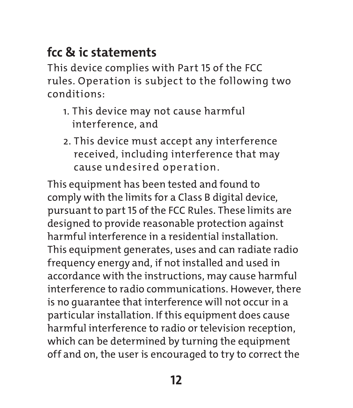# **fcc & ic statements**

This device complies with Part 15 of the FCC rules. Operation is subject to the following two conditions:

- 1. This device may not cause harmful interference, and
- 2. This device must accept any interference received, including interference that may cause undesired operation.

This equipment has been tested and found to comply with the limits for a Class B digital device, pursuant to part 15 of the FCC Rules. These limits are designed to provide reasonable protection against harmful interference in a residential installation. This equipment generates, uses and can radiate radio frequency energy and, if not installed and used in accordance with the instructions, may cause harmful interference to radio communications. However, there is no guarantee that interference will not occur in a particular installation. If this equipment does cause harmful interference to radio or television reception, which can be determined by turning the equipment off and on, the user is encouraged to try to correct the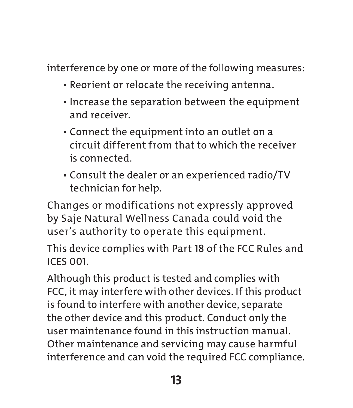interference by one or more of the following measures:

- Reorient or relocate the receiving antenna.
- Increase the separation between the equipment and receiver.
- Connect the equipment into an outlet on a circuit different from that to which the receiver is connected.
- Consult the dealer or an experienced radio/TV technician for help.

Changes or modifications not expressly approved by Saje Natural Wellness Canada could void the user's authority to operate this equipment.

This device complies with Part 18 of the FCC Rules and ICES 001.

Although this product is tested and complies with FCC, it may interfere with other devices. If this product is found to interfere with another device, separate the other device and this product. Conduct only the user maintenance found in this instruction manual. Other maintenance and servicing may cause harmful interference and can void the required FCC compliance.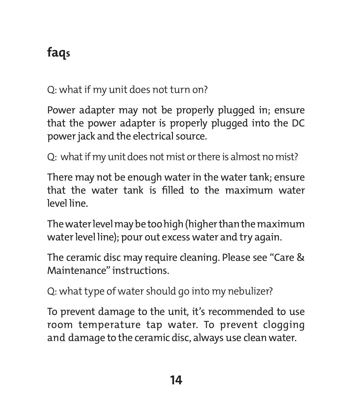# **faqs**

Q: what if my unit does not turn on?

Power adapter may not be properly plugged in; ensure that the power adapter is properly plugged into the DC power jack and the electrical source.

Q: what if my unit does not mist or there is almost no mist?

There may not be enough water in the water tank; ensure that the water tank is filled to the maximum water level line.

The water level may be too high (higher than the maximum water level line); pour out excess water and try again.

The ceramic disc may require cleaning. Please see "Care & Maintenance" instructions.

Q: what type of water should go into my nebulizer?

To prevent damage to the unit, it's recommended to use room temperature tap water. To prevent clogging and damage to the ceramic disc, always use clean water.